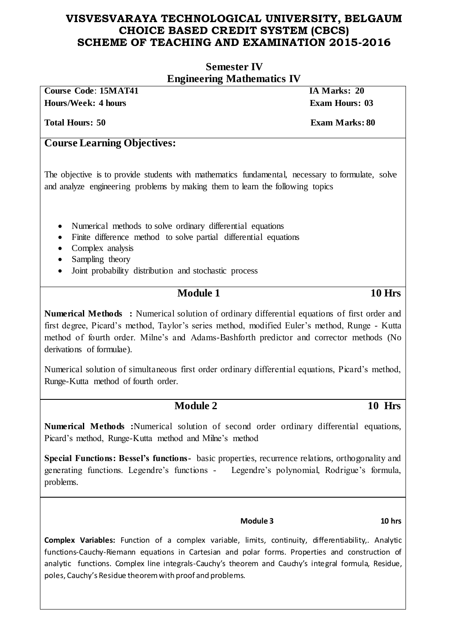| <b>Semester IV</b>                                                                                                                                                                                                                                                                                                   |               |  |  |  |
|----------------------------------------------------------------------------------------------------------------------------------------------------------------------------------------------------------------------------------------------------------------------------------------------------------------------|---------------|--|--|--|
| <b>Engineering Mathematics IV</b><br><b>Course Code: 15MAT41</b><br>IA Marks: 20<br><b>Hours/Week: 4 hours</b><br><b>Exam Hours: 03</b><br><b>Total Hours: 50</b><br><b>Exam Marks: 80</b>                                                                                                                           |               |  |  |  |
|                                                                                                                                                                                                                                                                                                                      |               |  |  |  |
| The objective is to provide students with mathematics fundamental, necessary to formulate, solve<br>and analyze engineering problems by making them to learn the following topics                                                                                                                                    |               |  |  |  |
| Numerical methods to solve ordinary differential equations<br>$\bullet$<br>Finite difference method to solve partial differential equations<br>$\bullet$<br>Complex analysis<br>$\bullet$<br>Sampling theory<br>Joint probability distribution and stochastic process<br>$\bullet$                                   |               |  |  |  |
| <b>Module 1</b>                                                                                                                                                                                                                                                                                                      | <b>10 Hrs</b> |  |  |  |
| Numerical Methods: Numerical solution of ordinary differential equations of first order and<br>first degree, Picard's method, Taylor's series method, modified Euler's method, Runge - Kutta<br>method of fourth order. Milne's and Adams-Bashforth predictor and corrector methods (No<br>derivations of formulae). |               |  |  |  |
| Numerical solution of simultaneous first order ordinary differential equations, Picard's method,<br>Runge-Kutta method of fourth order.                                                                                                                                                                              |               |  |  |  |
| <b>Module 2</b>                                                                                                                                                                                                                                                                                                      | 10 Hrs        |  |  |  |
| <b>Numerical Methods</b> : Numerical solution of second order ordinary differential equations,<br>Picard's method, Runge-Kutta method and Milne's method                                                                                                                                                             |               |  |  |  |
| Special Functions: Bessel's functions- basic properties, recurrence relations, orthogonality and<br>generating functions. Legendre's functions - Legendre's polynomial, Rodrigue's formula,<br>problems.                                                                                                             |               |  |  |  |
|                                                                                                                                                                                                                                                                                                                      |               |  |  |  |

**Module 3 10 hrs**

**Complex Variables:** Function of a complex variable, limits, continuity, differentiability,. Analytic functions-Cauchy-Riemann equations in Cartesian and polar forms. Properties and construction of analytic functions. Complex line integrals-Cauchy's theorem and Cauchy's integral formula, Residue, poles, Cauchy's Residue theorem with proof and problems.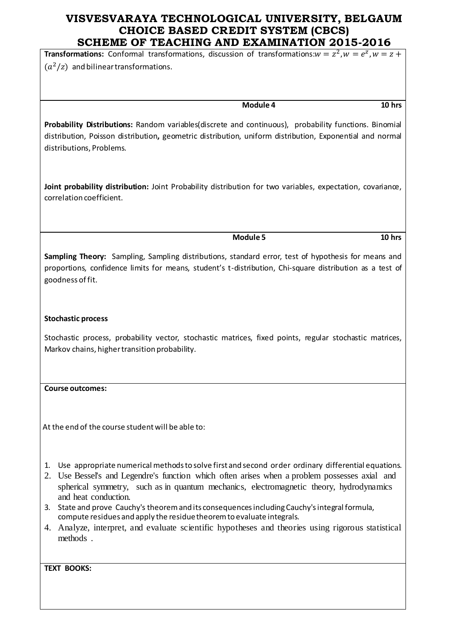**Transformations:** Conformal transformations, discussion of transformations: $w = z^2$ ,  $w = e^z$ ,  $(a^2/z)$  and bilinear transformations.

**Module 4 10 hrs**

**Probability Distributions:** Random variables(discrete and continuous), probability functions. Binomial distribution, Poisson distribution**,** geometric distribution, uniform distribution, Exponential and normal distributions, Problems.

**Joint probability distribution:** Joint Probability distribution for two variables, expectation, covariance, correlation coefficient.

**Module 5 10 hrs**

**Sampling Theory:** Sampling, Sampling distributions, standard error, test of hypothesis for means and proportions, confidence limits for means, student's t-distribution, Chi-square distribution as a test of goodness of fit.

#### **Stochastic process**

Stochastic process, probability vector, stochastic matrices, fixed points, regular stochastic matrices, Markov chains, higher transition probability.

#### **Course outcomes:**

At the end of the course student will be able to:

- 1. Use appropriate numerical methods to solve first and second order ordinary differential equations.
- 2. Use Bessel's and Legendre's function which often arises when a problem possesses axial and spherical symmetry, such as in quantum mechanics, electromagnetic theory, hydrodynamics and heat conduction.
- 3. State and prove Cauchy's theorem and its consequences including Cauchy's integral formula, compute residues and apply the residue theorem to evaluate integrals.
- 4. Analyze, interpret, and evaluate scientific hypotheses and theories using rigorous statistical methods .

**TEXT BOOKS:**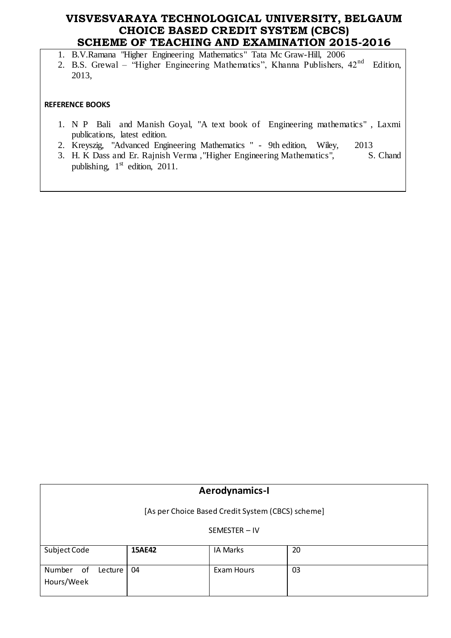1. B.V.Ramana "Higher Engineering Mathematics" Tata Mc Graw-Hill, 2006

2. B.S. Grewal – "Higher Engineering Mathematics", Khanna Publishers, 42<sup>nd</sup> Edition, 2013,

#### **REFERENCE BOOKS**

- 1. N P Bali and Manish Goyal, "A text book of Engineering mathematics" , Laxmi publications, latest edition.
- 2. Kreyszig, "Advanced Engineering Mathematics " 9th edition, Wiley, 2013<br>
3. H. K Dass and Er. Rajnish Verma , "Higher Engineering Mathematics", S. Chand
- 3. H. K Dass and Er. Rajnish Verma, "Higher Engineering Mathematics", publishing,  $1<sup>st</sup>$  edition, 2011.

| <b>Aerodynamics-I</b>                             |               |                 |    |  |  |
|---------------------------------------------------|---------------|-----------------|----|--|--|
| [As per Choice Based Credit System (CBCS) scheme] |               |                 |    |  |  |
|                                                   | SEMESTER-IV   |                 |    |  |  |
| Subject Code                                      | <b>15AE42</b> | <b>IA Marks</b> | 20 |  |  |
| Number<br>of<br>Lecture<br>Hours/Week             | 04            | Exam Hours      | 03 |  |  |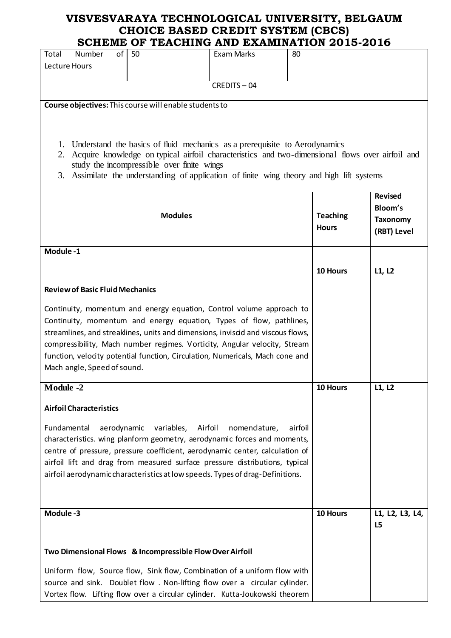| of I                                                                                       |            |                | SCHEME OF TEACHING AND EAAMINATION 2013-2010                                                    |         |                 |                 |
|--------------------------------------------------------------------------------------------|------------|----------------|-------------------------------------------------------------------------------------------------|---------|-----------------|-----------------|
| Total<br>Number<br>Lecture Hours                                                           | 50         |                | Exam Marks                                                                                      | 80      |                 |                 |
|                                                                                            |            |                |                                                                                                 |         |                 |                 |
|                                                                                            |            |                | CREDITS-04                                                                                      |         |                 |                 |
|                                                                                            |            |                |                                                                                                 |         |                 |                 |
| Course objectives: This course will enable students to                                     |            |                |                                                                                                 |         |                 |                 |
|                                                                                            |            |                |                                                                                                 |         |                 |                 |
|                                                                                            |            |                |                                                                                                 |         |                 |                 |
| 1.                                                                                         |            |                | Understand the basics of fluid mechanics as a prerequisite to Aerodynamics                      |         |                 |                 |
| 2.                                                                                         |            |                | Acquire knowledge on typical airfoil characteristics and two-dimensional flows over airfoil and |         |                 |                 |
| study the incompressible over finite wings                                                 |            |                |                                                                                                 |         |                 |                 |
| 3. Assimilate the understanding of application of finite wing theory and high lift systems |            |                |                                                                                                 |         |                 |                 |
|                                                                                            |            |                |                                                                                                 |         |                 |                 |
|                                                                                            |            |                |                                                                                                 |         |                 | <b>Revised</b>  |
|                                                                                            |            | <b>Modules</b> |                                                                                                 |         | <b>Teaching</b> | Bloom's         |
|                                                                                            |            |                |                                                                                                 |         | <b>Hours</b>    | <b>Taxonomy</b> |
|                                                                                            |            |                |                                                                                                 |         |                 | (RBT) Level     |
| Module-1                                                                                   |            |                |                                                                                                 |         |                 |                 |
|                                                                                            |            |                |                                                                                                 |         |                 |                 |
|                                                                                            |            |                |                                                                                                 |         | 10 Hours        | L1, L2          |
|                                                                                            |            |                |                                                                                                 |         |                 |                 |
| <b>Review of Basic Fluid Mechanics</b>                                                     |            |                |                                                                                                 |         |                 |                 |
| Continuity, momentum and energy equation, Control volume approach to                       |            |                |                                                                                                 |         |                 |                 |
| Continuity, momentum and energy equation, Types of flow, pathlines,                        |            |                |                                                                                                 |         |                 |                 |
| streamlines, and streaklines, units and dimensions, inviscid and viscous flows,            |            |                |                                                                                                 |         |                 |                 |
| compressibility, Mach number regimes. Vorticity, Angular velocity, Stream                  |            |                |                                                                                                 |         |                 |                 |
| function, velocity potential function, Circulation, Numericals, Mach cone and              |            |                |                                                                                                 |         |                 |                 |
| Mach angle, Speed of sound.                                                                |            |                |                                                                                                 |         |                 |                 |
|                                                                                            |            |                |                                                                                                 |         |                 |                 |
| <b>Module -2</b>                                                                           |            |                |                                                                                                 |         | 10 Hours        | L1, L2          |
|                                                                                            |            |                |                                                                                                 |         |                 |                 |
| <b>Airfoil Characteristics</b>                                                             |            |                |                                                                                                 |         |                 |                 |
| Fundamental<br>aerodynamic                                                                 | variables, | Airfoil        | nomendature,                                                                                    | airfoil |                 |                 |
| characteristics. wing planform geometry, aerodynamic forces and moments,                   |            |                |                                                                                                 |         |                 |                 |
| centre of pressure, pressure coefficient, aerodynamic center, calculation of               |            |                |                                                                                                 |         |                 |                 |
| airfoil lift and drag from measured surface pressure distributions, typical                |            |                |                                                                                                 |         |                 |                 |
| airfoil aerodynamic characteristics at low speeds. Types of drag-Definitions.              |            |                |                                                                                                 |         |                 |                 |
|                                                                                            |            |                |                                                                                                 |         |                 |                 |
|                                                                                            |            |                |                                                                                                 |         |                 |                 |
|                                                                                            |            |                |                                                                                                 |         |                 |                 |
| Module-3                                                                                   |            |                |                                                                                                 |         | 10 Hours        | L1, L2, L3, L4, |
|                                                                                            |            |                |                                                                                                 |         |                 | L5              |
|                                                                                            |            |                |                                                                                                 |         |                 |                 |
| Two Dimensional Flows & Incompressible Flow Over Airfoil                                   |            |                |                                                                                                 |         |                 |                 |
| Uniform flow, Source flow, Sink flow, Combination of a uniform flow with                   |            |                |                                                                                                 |         |                 |                 |
| source and sink. Doublet flow. Non-lifting flow over a circular cylinder.                  |            |                |                                                                                                 |         |                 |                 |
|                                                                                            |            |                |                                                                                                 |         |                 |                 |
| Vortex flow. Lifting flow over a circular cylinder. Kutta-Joukowski theorem                |            |                |                                                                                                 |         |                 |                 |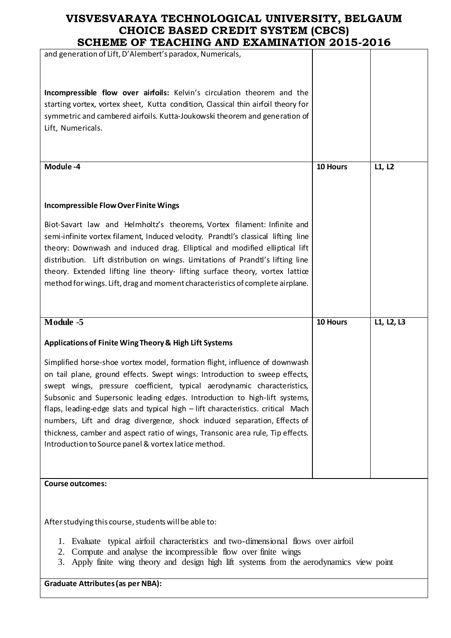| and generation of Lift, D'Alembert's paradox, Numericals,                                                                                                                                                                                                                                                                                                                                                                                                                                                                                   |          |            |
|---------------------------------------------------------------------------------------------------------------------------------------------------------------------------------------------------------------------------------------------------------------------------------------------------------------------------------------------------------------------------------------------------------------------------------------------------------------------------------------------------------------------------------------------|----------|------------|
| Incompressible flow over airfoils: Kelvin's circulation theorem and the<br>starting vortex, vortex sheet, Kutta condition, Classical thin airfoil theory for<br>symmetric and cambered airfoils. Kutta-Joukowski theorem and generation of<br>Lift, Numericals.                                                                                                                                                                                                                                                                             |          |            |
| Module-4                                                                                                                                                                                                                                                                                                                                                                                                                                                                                                                                    | 10 Hours | L1, L2     |
| <b>Incompressible Flow Over Finite Wings</b><br>Biot-Savart law and Helmholtz's theorems, Vortex filament: Infinite and<br>semi-infinite vortex filament, Induced velocity. Prandtl's classical lifting line<br>theory: Downwash and induced drag. Elliptical and modified elliptical lift<br>distribution. Lift distribution on wings. Limitations of Prandtl's lifting line                                                                                                                                                               |          |            |
| theory. Extended lifting line theory- lifting surface theory, vortex lattice<br>method for wings. Lift, drag and moment characteristics of complete airplane.                                                                                                                                                                                                                                                                                                                                                                               |          |            |
| Module -5                                                                                                                                                                                                                                                                                                                                                                                                                                                                                                                                   | 10 Hours | L1, L2, L3 |
| Applications of Finite Wing Theory & High Lift Systems                                                                                                                                                                                                                                                                                                                                                                                                                                                                                      |          |            |
| Simplified horse-shoe vortex model, formation flight, influence of downwash                                                                                                                                                                                                                                                                                                                                                                                                                                                                 |          |            |
| on tail plane, ground effects. Swept wings: Introduction to sweep effects,<br>swept wings, pressure coefficient, typical aerodynamic characteristics,<br>Subsonic and Supersonic leading edges. Introduction to high-lift systems,<br>flaps, leading-edge slats and typical high - lift characteristics. critical Mach<br>numbers, Lift and drag divergence, shock induced separation, Effects of<br>thickness, camber and aspect ratio of wings, Transonic area rule, Tip effects.<br>Introduction to Source panel & vortex latice method. |          |            |
| <b>Course outcomes:</b>                                                                                                                                                                                                                                                                                                                                                                                                                                                                                                                     |          |            |

**Graduate Attributes (as per NBA):**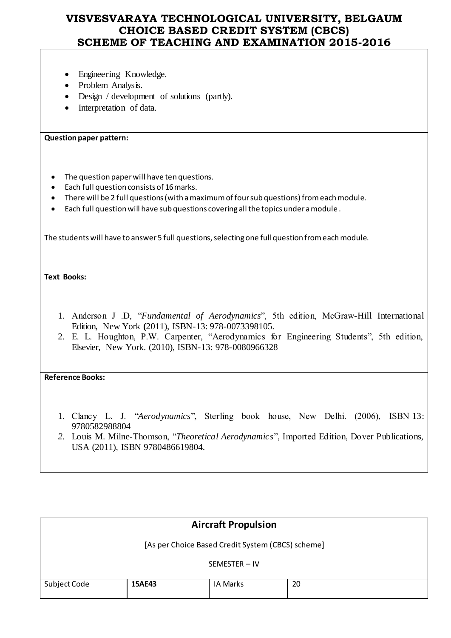- Engineering Knowledge.
- Problem Analysis.
- Design / development of solutions (partly).
- Interpretation of data.

### **Question paper pattern:**

- The question paper will have ten questions.
- Each full question consists of 16 marks.
- There will be 2 full questions (with a maximum of four sub questions) from each module.
- Each full question will have sub questions covering all the topics under a module .

The students will have to answer 5 full questions, selecting one full question from each module.

**Text Books:**

- 1. Anderson J .D, "*Fundamental of Aerodynamics*", 5th edition, McGraw-Hill International Edition, New York **(**2011), ISBN-13: 978-0073398105.
- 2. E. L. Houghton, P.W. Carpenter, "Aerodynamics for Engineering Students", 5th edition, Elsevier, New York. (2010), ISBN-13: 978-0080966328

### **Reference Books:**

- 1. Clancy L. J. "*Aerodynamics*", Sterling book house, New Delhi. (2006), ISBN 13: 9780582988804
- *2.* Louis M. Milne-Thomson, "*Theoretical Aerodynamics*", Imported Edition, Dover Publications, USA (2011), ISBN 9780486619804.

|                                                   |               | <b>Aircraft Propulsion</b> |    |  |
|---------------------------------------------------|---------------|----------------------------|----|--|
| [As per Choice Based Credit System (CBCS) scheme] |               |                            |    |  |
|                                                   | SEMESTER-IV   |                            |    |  |
| Subject Code                                      | <b>15AE43</b> | IA Marks                   | 20 |  |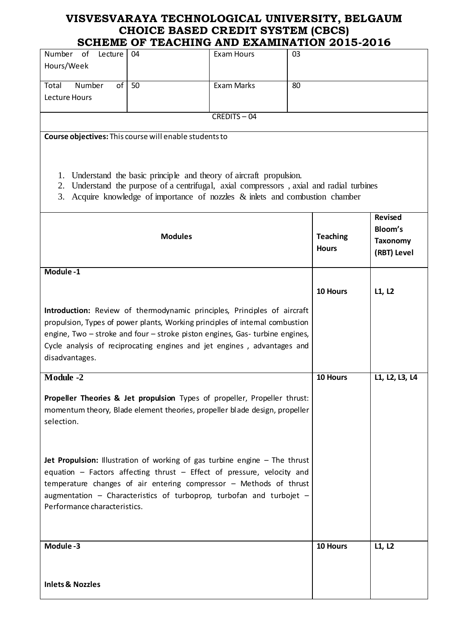|                                                                                                                                                                                                                                                                                                                                            | SCHEME OF TEACHING AND EXAMINATION 2015-2016                                                                                                                                                                                                |                   |    |                                 |                                           |
|--------------------------------------------------------------------------------------------------------------------------------------------------------------------------------------------------------------------------------------------------------------------------------------------------------------------------------------------|---------------------------------------------------------------------------------------------------------------------------------------------------------------------------------------------------------------------------------------------|-------------------|----|---------------------------------|-------------------------------------------|
| Number of<br>Lecture<br>Hours/Week                                                                                                                                                                                                                                                                                                         | 04                                                                                                                                                                                                                                          | <b>Exam Hours</b> | 03 |                                 |                                           |
| Number<br>of<br>Total                                                                                                                                                                                                                                                                                                                      | 50                                                                                                                                                                                                                                          | Exam Marks        | 80 |                                 |                                           |
| Lecture Hours                                                                                                                                                                                                                                                                                                                              |                                                                                                                                                                                                                                             |                   |    |                                 |                                           |
|                                                                                                                                                                                                                                                                                                                                            |                                                                                                                                                                                                                                             | CREDITS-04        |    |                                 |                                           |
|                                                                                                                                                                                                                                                                                                                                            |                                                                                                                                                                                                                                             |                   |    |                                 |                                           |
| Course objectives: This course will enable students to<br>1.<br>2.<br>3.                                                                                                                                                                                                                                                                   | Understand the basic principle and theory of aircraft propulsion.<br>Understand the purpose of a centrifugal, axial compressors, axial and radial turbines<br>Acquire knowledge of importance of nozzles $\&$ inlets and combustion chamber |                   |    |                                 |                                           |
|                                                                                                                                                                                                                                                                                                                                            |                                                                                                                                                                                                                                             |                   |    |                                 | <b>Revised</b>                            |
| <b>Modules</b>                                                                                                                                                                                                                                                                                                                             |                                                                                                                                                                                                                                             |                   |    | <b>Teaching</b><br><b>Hours</b> | Bloom's<br><b>Taxonomy</b><br>(RBT) Level |
| Module-1                                                                                                                                                                                                                                                                                                                                   |                                                                                                                                                                                                                                             |                   |    |                                 |                                           |
|                                                                                                                                                                                                                                                                                                                                            |                                                                                                                                                                                                                                             |                   |    | 10 Hours                        | L1, L2                                    |
| Introduction: Review of thermodynamic principles, Principles of aircraft<br>propulsion, Types of power plants, Working principles of intemal combustion<br>engine, Two - stroke and four - stroke piston engines, Gas- turbine engines,<br>Cycle analysis of reciprocating engines and jet engines, advantages and<br>disadvantages.       |                                                                                                                                                                                                                                             |                   |    |                                 |                                           |
| Module -2                                                                                                                                                                                                                                                                                                                                  |                                                                                                                                                                                                                                             |                   |    | 10 Hours                        | L1, L2, L3, L4                            |
| Propeller Theories & Jet propulsion Types of propeller, Propeller thrust:<br>momentum theory, Blade element theories, propeller blade design, propeller<br>selection.                                                                                                                                                                      |                                                                                                                                                                                                                                             |                   |    |                                 |                                           |
| Jet Propulsion: Illustration of working of gas turbine engine - The thrust<br>equation $-$ Factors affecting thrust $-$ Effect of pressure, velocity and<br>temperature changes of air entering compressor - Methods of thrust<br>augmentation $-$ Characteristics of turboprop, turbofan and turbojet $-$<br>Performance characteristics. |                                                                                                                                                                                                                                             |                   |    |                                 |                                           |
| Module-3                                                                                                                                                                                                                                                                                                                                   |                                                                                                                                                                                                                                             |                   |    | 10 Hours                        | L1, L2                                    |
|                                                                                                                                                                                                                                                                                                                                            |                                                                                                                                                                                                                                             |                   |    |                                 |                                           |
| <b>Inlets &amp; Nozzles</b>                                                                                                                                                                                                                                                                                                                |                                                                                                                                                                                                                                             |                   |    |                                 |                                           |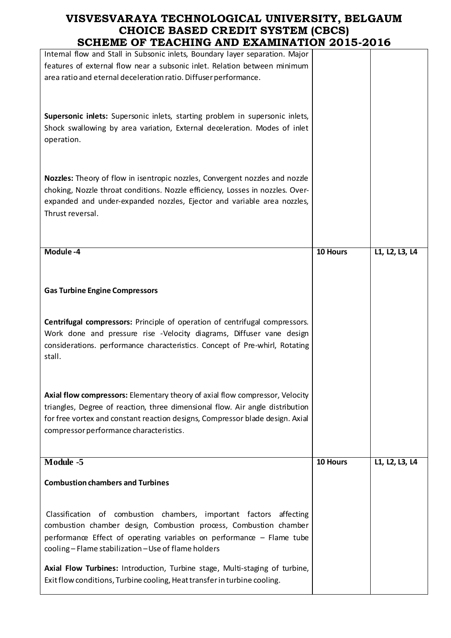| SCHEME OF TEACHING AND EXAMINATION 2015-2016                                                                                                                                                                                                                                              |          |                |
|-------------------------------------------------------------------------------------------------------------------------------------------------------------------------------------------------------------------------------------------------------------------------------------------|----------|----------------|
| Intemal flow and Stall in Subsonic inlets, Boundary layer separation. Major<br>features of external flow near a subsonic inlet. Relation between minimum<br>area ratio and eternal deceleration ratio. Diffuser performance.                                                              |          |                |
| Supersonic inlets: Supersonic inlets, starting problem in supersonic inlets,<br>Shock swallowing by area variation, External deceleration. Modes of inlet<br>operation.                                                                                                                   |          |                |
| Nozzles: Theory of flow in isentropic nozzles, Convergent nozzles and nozzle<br>choking, Nozzle throat conditions. Nozzle efficiency, Losses in nozzles. Over-<br>expanded and under-expanded nozzles, Ejector and variable area nozzles,<br>Thrust reversal.                             |          |                |
| Module -4                                                                                                                                                                                                                                                                                 | 10 Hours | L1, L2, L3, L4 |
| <b>Gas Turbine Engine Compressors</b><br>Centrifugal compressors: Principle of operation of centrifugal compressors.<br>Work done and pressure rise -Velocity diagrams, Diffuser vane design<br>considerations. performance characteristics. Concept of Pre-whirl, Rotating<br>stall.     |          |                |
| Axial flow compressors: Elementary theory of axial flow compressor, Velocity<br>triangles, Degree of reaction, three dimensional flow. Air angle distribution<br>for free vortex and constant reaction designs, Compressor blade design. Axial<br>compressor performance characteristics. |          |                |
| Module -5                                                                                                                                                                                                                                                                                 | 10 Hours | L1, L2, L3, L4 |
| <b>Combustion chambers and Turbines</b>                                                                                                                                                                                                                                                   |          |                |
| Classification of combustion chambers, important factors<br>affecting<br>combustion chamber design, Combustion process, Combustion chamber<br>performance Effect of operating variables on performance - Flame tube<br>cooling - Flame stabilization - Use of flame holders               |          |                |
| Axial Flow Turbines: Introduction, Turbine stage, Multi-staging of turbine,                                                                                                                                                                                                               |          |                |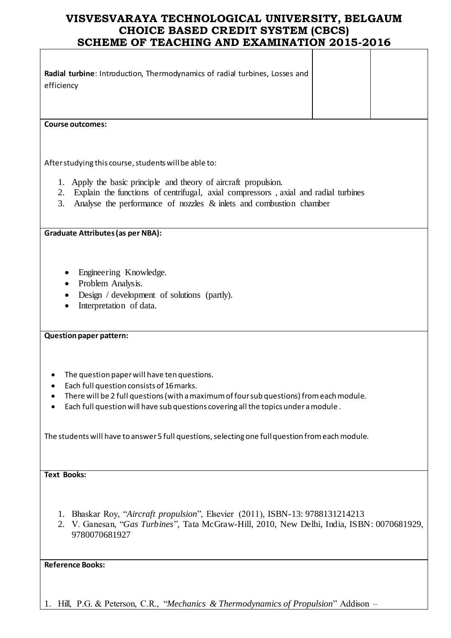| Radial turbine: Introduction, Thermodynamics of radial turbines, Losses and<br>efficiency                                                                                                                                                                                |
|--------------------------------------------------------------------------------------------------------------------------------------------------------------------------------------------------------------------------------------------------------------------------|
| <b>Course outcomes:</b>                                                                                                                                                                                                                                                  |
| After studying this course, students will be able to:                                                                                                                                                                                                                    |
|                                                                                                                                                                                                                                                                          |
| 1. Apply the basic principle and theory of aircraft propulsion.<br>Explain the functions of centrifugal, axial compressors, axial and radial turbines<br>2.<br>Analyse the performance of nozzles $\&$ inlets and combustion chamber<br>3.                               |
| <b>Graduate Attributes (as per NBA):</b>                                                                                                                                                                                                                                 |
| Engineering Knowledge.<br>Problem Analysis.<br>Design / development of solutions (partly).<br>Interpretation of data.                                                                                                                                                    |
| <b>Question paper pattern:</b>                                                                                                                                                                                                                                           |
| The question paper will have ten questions.<br>Each full question consists of 16 marks.<br>There will be 2 full questions (with a maximum of four sub questions) from each module.<br>Each full question will have sub questions covering all the topics under a module. |
| The students will have to answer 5 full questions, selecting one full question from each module.                                                                                                                                                                         |
| <b>Text Books:</b>                                                                                                                                                                                                                                                       |
| 1. Bhaskar Roy, "Aircraft propulsion", Elsevier (2011), ISBN-13: 9788131214213<br>2. V. Ganesan, "Gas Turbines", Tata McGraw-Hill, 2010, New Delhi, India, ISBN: 0070681929,<br>9780070681927                                                                            |
| <b>Reference Books:</b>                                                                                                                                                                                                                                                  |

1. Hill, P.G. & Peterson, C.R., "*Mechanics & Thermodynamics of Propulsion*" Addison –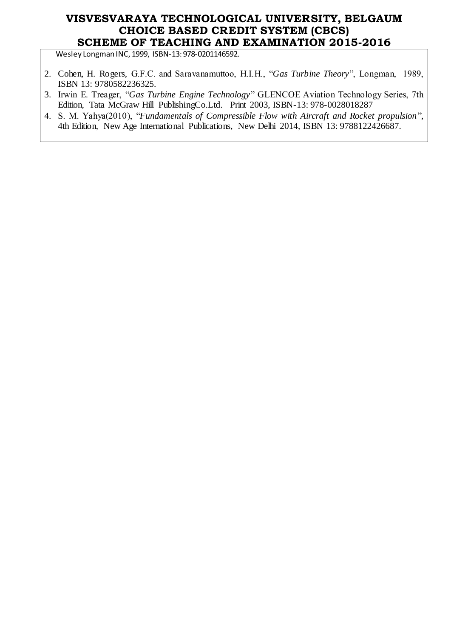Wesley Longman INC, 1999, ISBN-13: 978-0201146592.

- 2. Cohen, H. Rogers, G.F.C. and Saravanamuttoo, H.I.H., "*Gas Turbine Theory*", Longman, 1989, ISBN 13: 9780582236325.
- 3. Irwin E. Treager, "*Gas Turbine Engine Technology*" GLENCOE Aviation Technology Series, 7th Edition, Tata McGraw Hill PublishingCo.Ltd. Print 2003, ISBN-13: 978-0028018287
- 4. S. M. Yahya(2010), "*Fundamentals of Compressible Flow with Aircraft and Rocket propulsion*", 4th Edition, New Age International Publications, New Delhi 2014, ISBN 13: 9788122426687.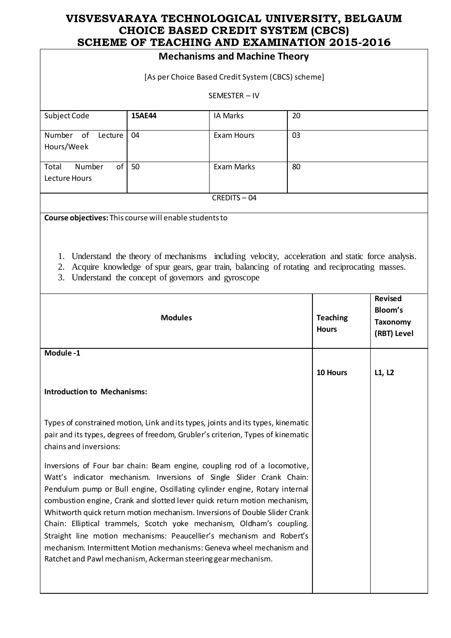|                                                                                                                                                                                                                                                                                                                                                                                                                                                                                                                                                                                                                                                                                       | SCHEME OF TEACHING AND EXAMINATION 2015-2016                                                                                                                                                                                                         |                                                   |                                 |                                                             |        |
|---------------------------------------------------------------------------------------------------------------------------------------------------------------------------------------------------------------------------------------------------------------------------------------------------------------------------------------------------------------------------------------------------------------------------------------------------------------------------------------------------------------------------------------------------------------------------------------------------------------------------------------------------------------------------------------|------------------------------------------------------------------------------------------------------------------------------------------------------------------------------------------------------------------------------------------------------|---------------------------------------------------|---------------------------------|-------------------------------------------------------------|--------|
|                                                                                                                                                                                                                                                                                                                                                                                                                                                                                                                                                                                                                                                                                       |                                                                                                                                                                                                                                                      | <b>Mechanisms and Machine Theory</b>              |                                 |                                                             |        |
|                                                                                                                                                                                                                                                                                                                                                                                                                                                                                                                                                                                                                                                                                       |                                                                                                                                                                                                                                                      | [As per Choice Based Credit System (CBCS) scheme] |                                 |                                                             |        |
|                                                                                                                                                                                                                                                                                                                                                                                                                                                                                                                                                                                                                                                                                       |                                                                                                                                                                                                                                                      | SEMESTER - IV                                     |                                 |                                                             |        |
| Subject Code                                                                                                                                                                                                                                                                                                                                                                                                                                                                                                                                                                                                                                                                          | 15AE44                                                                                                                                                                                                                                               | <b>IA Marks</b>                                   | 20                              |                                                             |        |
| Number of<br>Lecture<br>Hours/Week                                                                                                                                                                                                                                                                                                                                                                                                                                                                                                                                                                                                                                                    | 04                                                                                                                                                                                                                                                   | <b>Exam Hours</b>                                 | 03                              |                                                             |        |
| of<br>Number<br>Total<br>Lecture Hours                                                                                                                                                                                                                                                                                                                                                                                                                                                                                                                                                                                                                                                | 50                                                                                                                                                                                                                                                   | <b>Exam Marks</b>                                 | 80                              |                                                             |        |
|                                                                                                                                                                                                                                                                                                                                                                                                                                                                                                                                                                                                                                                                                       |                                                                                                                                                                                                                                                      | CREDITS-04                                        |                                 |                                                             |        |
| Course objectives: This course will enable students to                                                                                                                                                                                                                                                                                                                                                                                                                                                                                                                                                                                                                                |                                                                                                                                                                                                                                                      |                                                   |                                 |                                                             |        |
| 1.<br>2.<br>3.                                                                                                                                                                                                                                                                                                                                                                                                                                                                                                                                                                                                                                                                        | Understand the theory of mechanisms including velocity, acceleration and static force analysis.<br>Acquire knowledge of spur gears, gear train, balancing of rotating and reciprocating masses.<br>Understand the concept of governors and gyroscope |                                                   |                                 |                                                             |        |
| <b>Modules</b>                                                                                                                                                                                                                                                                                                                                                                                                                                                                                                                                                                                                                                                                        |                                                                                                                                                                                                                                                      |                                                   | <b>Teaching</b><br><b>Hours</b> | <b>Revised</b><br>Bloom's<br><b>Taxonomy</b><br>(RBT) Level |        |
| Module-1                                                                                                                                                                                                                                                                                                                                                                                                                                                                                                                                                                                                                                                                              |                                                                                                                                                                                                                                                      |                                                   |                                 |                                                             |        |
|                                                                                                                                                                                                                                                                                                                                                                                                                                                                                                                                                                                                                                                                                       |                                                                                                                                                                                                                                                      |                                                   |                                 | 10 Hours                                                    | L1, L2 |
| <b>Introduction to Mechanisms:</b>                                                                                                                                                                                                                                                                                                                                                                                                                                                                                                                                                                                                                                                    |                                                                                                                                                                                                                                                      |                                                   |                                 |                                                             |        |
| Types of constrained motion, Link and its types, joints and its types, kinematic<br>pair and its types, degrees of freedom, Grubler's criterion, Types of kinematic<br>chains and inversions:                                                                                                                                                                                                                                                                                                                                                                                                                                                                                         |                                                                                                                                                                                                                                                      |                                                   |                                 |                                                             |        |
| Inversions of Four bar chain: Beam engine, coupling rod of a locomotive,<br>Watt's indicator mechanism. Inversions of Single Slider Crank Chain:<br>Pendulum pump or Bull engine, Oscillating cylinder engine, Rotary internal<br>combustion engine, Crank and slotted lever quick return motion mechanism,<br>Whitworth quick return motion mechanism. Inversions of Double Slider Crank<br>Chain: Elliptical trammels, Scotch yoke mechanism, Oldham's coupling.<br>Straight line motion mechanisms: Peaucellier's mechanism and Robert's<br>mechanism. Intermittent Motion mechanisms: Geneva wheel mechanism and<br>Ratchet and Pawl mechanism, Ackerman steering gear mechanism. |                                                                                                                                                                                                                                                      |                                                   |                                 |                                                             |        |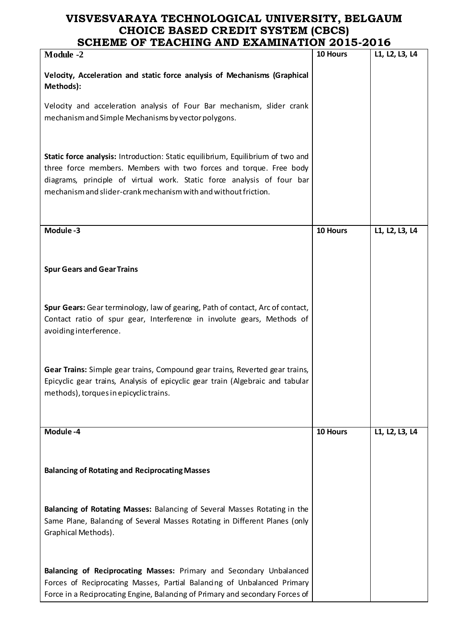| <b>Module -2</b>                                                                                                                                                                                                                                                                                   | 10 Hours | L1, L2, L3, L4 |
|----------------------------------------------------------------------------------------------------------------------------------------------------------------------------------------------------------------------------------------------------------------------------------------------------|----------|----------------|
| Velocity, Acceleration and static force analysis of Mechanisms (Graphical<br>Methods):                                                                                                                                                                                                             |          |                |
| Velocity and acceleration analysis of Four Bar mechanism, slider crank<br>mechanism and Simple Mechanisms by vector polygons.                                                                                                                                                                      |          |                |
| Static force analysis: Introduction: Static equilibrium, Equilibrium of two and<br>three force members. Members with two forces and torque. Free body<br>diagrams, principle of virtual work. Static force analysis of four bar<br>mechanism and slider-crank mechanism with and without friction. |          |                |
| Module-3                                                                                                                                                                                                                                                                                           | 10 Hours | L1, L2, L3, L4 |
| <b>Spur Gears and Gear Trains</b>                                                                                                                                                                                                                                                                  |          |                |
| Spur Gears: Gear terminology, law of gearing, Path of contact, Arc of contact,<br>Contact ratio of spur gear, Interference in involute gears, Methods of<br>avoiding interference.                                                                                                                 |          |                |
| Gear Trains: Simple gear trains, Compound gear trains, Reverted gear trains,<br>Epicyclic gear trains, Analysis of epicyclic gear train (Algebraic and tabular<br>methods), torques in epicyclic trains.                                                                                           |          |                |
| Module -4                                                                                                                                                                                                                                                                                          | 10 Hours | L1, L2, L3, L4 |
| <b>Balancing of Rotating and Reciprocating Masses</b>                                                                                                                                                                                                                                              |          |                |
| Balancing of Rotating Masses: Balancing of Several Masses Rotating in the<br>Same Plane, Balancing of Several Masses Rotating in Different Planes (only<br>Graphical Methods).                                                                                                                     |          |                |
| Balancing of Reciprocating Masses: Primary and Secondary Unbalanced<br>Forces of Reciprocating Masses, Partial Balancing of Unbalanced Primary<br>Force in a Reciprocating Engine, Balancing of Primary and secondary Forces of                                                                    |          |                |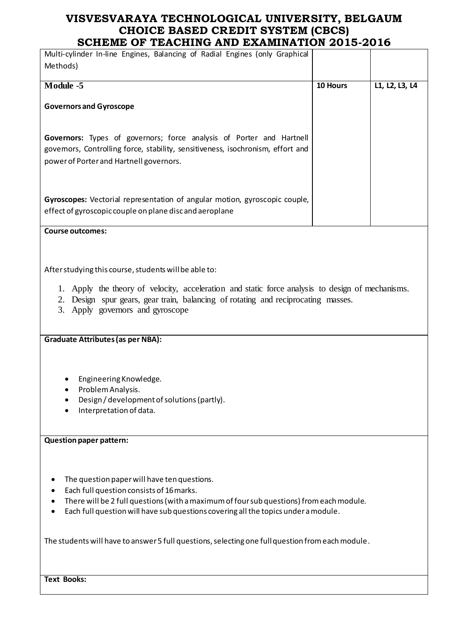| Multi-cylinder In-line Engines, Balancing of Radial Engines (only Graphical<br>Methods)                                                                                                           |          |                |
|---------------------------------------------------------------------------------------------------------------------------------------------------------------------------------------------------|----------|----------------|
| Module -5                                                                                                                                                                                         | 10 Hours | L1, L2, L3, L4 |
| <b>Governors and Gyroscope</b>                                                                                                                                                                    |          |                |
| Governors: Types of governors; force analysis of Porter and Hartnell<br>govemors, Controlling force, stability, sensitiveness, isochronism, effort and<br>power of Porter and Hartnell governors. |          |                |
| Gyroscopes: Vectorial representation of angular motion, gyroscopic couple,<br>effect of gyroscopic couple on plane disc and aeroplane                                                             |          |                |

**Course outcomes:**

After studying this course, students will be able to:

- 1. Apply the theory of velocity, acceleration and static force analysis to design of mechanisms.
- 2. Design spur gears, gear train, balancing of rotating and reciprocating masses.
- 3. Apply governors and gyroscope

**Graduate Attributes (as per NBA):** 

- Engineering Knowledge.
- Problem Analysis.
- Design / development of solutions (partly).
- **•** Interpretation of data.

### **Question paper pattern:**

- The question paper will have ten questions.
- Each full question consists of 16 marks.
- There will be 2 full questions (with a maximum of four sub questions) from each module.
- Each full question will have sub questions covering all the topics under a module.

The students will have to answer 5 full questions, selecting one full question from each module.

**Text Books:**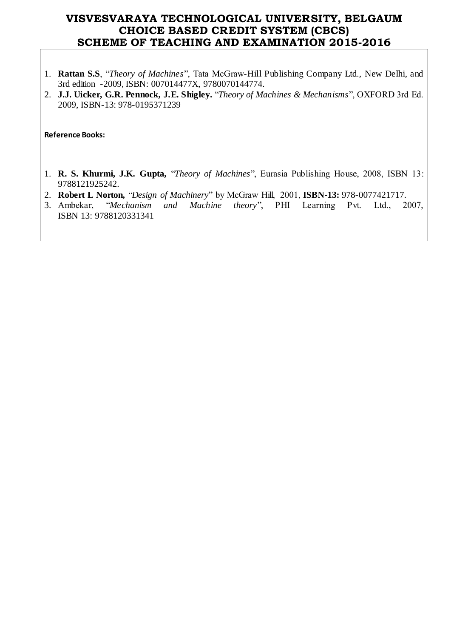- 1. **Rattan S.S**, "*Theory of Machines*", Tata McGraw-Hill Publishing Company Ltd., New Delhi, and 3rd edition -2009, ISBN: 007014477X, 9780070144774.
- 2. **J.J. Uicker, G.R. Pennock, J.E. Shigley.** "*Theory of Machines & Mechanisms*", OXFORD 3rd Ed. 2009, ISBN-13: 978-0195371239

**Reference Books:** 

- 1. **R. S. Khurmi, J.K. Gupta,** "*Theory of Machines*", Eurasia Publishing House, 2008, ISBN 13: 9788121925242.
- 
- 2. **Robert L Norton,** "*Design of Machinery*" by McGraw Hill, 2001, **ISBN-13:** 978-0077421717. and Machine theory", PHI Learning Pvt. Ltd., 2007, ISBN 13: 9788120331341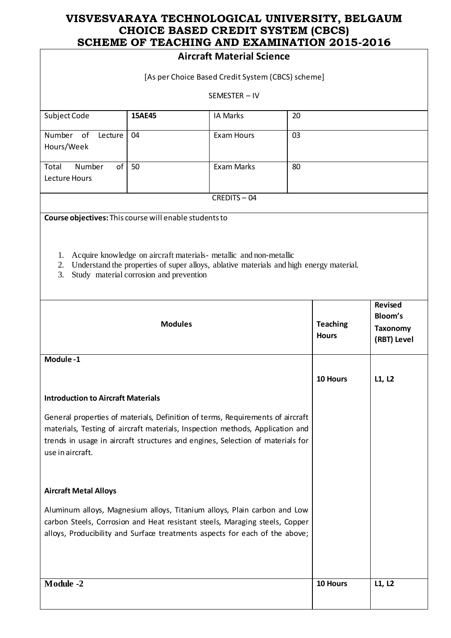|                                                                                                                                                                                                                                                                       |                                                                                                                                                                                                                                                                    | <b>Aircraft Material Science</b> |                                 |                                                             |        |
|-----------------------------------------------------------------------------------------------------------------------------------------------------------------------------------------------------------------------------------------------------------------------|--------------------------------------------------------------------------------------------------------------------------------------------------------------------------------------------------------------------------------------------------------------------|----------------------------------|---------------------------------|-------------------------------------------------------------|--------|
| [As per Choice Based Credit System (CBCS) scheme]                                                                                                                                                                                                                     |                                                                                                                                                                                                                                                                    |                                  |                                 |                                                             |        |
|                                                                                                                                                                                                                                                                       | SEMESTER-IV                                                                                                                                                                                                                                                        |                                  |                                 |                                                             |        |
| Subject Code                                                                                                                                                                                                                                                          | 15AE45                                                                                                                                                                                                                                                             | <b>IA Marks</b>                  | 20                              |                                                             |        |
| Number of<br>Lecture<br>Hours/Week                                                                                                                                                                                                                                    | 04                                                                                                                                                                                                                                                                 | <b>Exam Hours</b>                | 03                              |                                                             |        |
| of<br>Number<br>Total<br>Lecture Hours                                                                                                                                                                                                                                | 50                                                                                                                                                                                                                                                                 | Exam Marks                       | 80                              |                                                             |        |
|                                                                                                                                                                                                                                                                       |                                                                                                                                                                                                                                                                    | CREDITS-04                       |                                 |                                                             |        |
| 1.<br>2.<br>3.                                                                                                                                                                                                                                                        | Course objectives: This course will enable students to<br>Acquire knowledge on aircraft materials- metallic and non-metallic<br>Understand the properties of super alloys, ablative materials and high energy material.<br>Study material corrosion and prevention |                                  |                                 |                                                             |        |
| <b>Modules</b>                                                                                                                                                                                                                                                        |                                                                                                                                                                                                                                                                    |                                  | <b>Teaching</b><br><b>Hours</b> | <b>Revised</b><br>Bloom's<br><b>Taxonomy</b><br>(RBT) Level |        |
| Module-1                                                                                                                                                                                                                                                              |                                                                                                                                                                                                                                                                    |                                  |                                 |                                                             |        |
|                                                                                                                                                                                                                                                                       |                                                                                                                                                                                                                                                                    |                                  |                                 | 10 Hours                                                    | L1, L2 |
| <b>Introduction to Aircraft Materials</b>                                                                                                                                                                                                                             |                                                                                                                                                                                                                                                                    |                                  |                                 |                                                             |        |
| General properties of materials, Definition of terms, Requirements of aircraft<br>materials, Testing of aircraft materials, Inspection methods, Application and<br>trends in usage in aircraft structures and engines, Selection of materials for<br>use in aircraft. |                                                                                                                                                                                                                                                                    |                                  |                                 |                                                             |        |
| <b>Aircraft Metal Alloys</b>                                                                                                                                                                                                                                          |                                                                                                                                                                                                                                                                    |                                  |                                 |                                                             |        |
| Aluminum alloys, Magnesium alloys, Titanium alloys, Plain carbon and Low<br>carbon Steels, Corrosion and Heat resistant steels, Maraging steels, Copper<br>alloys, Producibility and Surface treatments aspects for each of the above;                                |                                                                                                                                                                                                                                                                    |                                  |                                 |                                                             |        |
| <b>Module -2</b>                                                                                                                                                                                                                                                      |                                                                                                                                                                                                                                                                    |                                  |                                 | 10 Hours                                                    | L1, L2 |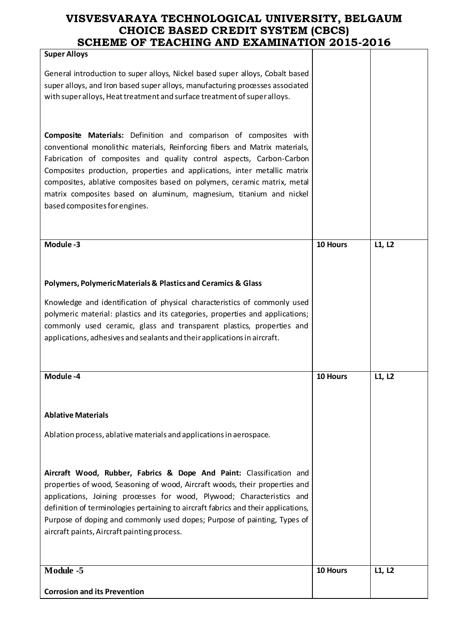| <b>Super Alloys</b>                                                                                                                                            |          |        |
|----------------------------------------------------------------------------------------------------------------------------------------------------------------|----------|--------|
| General introduction to super alloys, Nickel based super alloys, Cobalt based<br>super alloys, and Iron based super alloys, manufacturing processes associated |          |        |
| with super alloys, Heat treatment and surface treatment of super alloys.                                                                                       |          |        |
|                                                                                                                                                                |          |        |
| Composite Materials: Definition and comparison of composites with<br>conventional monolithic materials, Reinforcing fibers and Matrix materials,               |          |        |
| Fabrication of composites and quality control aspects, Carbon-Carbon<br>Composites production, properties and applications, inter metallic matrix              |          |        |
| composites, ablative composites based on polymers, ceramic matrix, metal                                                                                       |          |        |
| matrix composites based on aluminum, magnesium, titanium and nickel<br>based composites for engines.                                                           |          |        |
|                                                                                                                                                                |          |        |
| Module-3                                                                                                                                                       | 10 Hours | L1, L2 |
|                                                                                                                                                                |          |        |
| <b>Polymers, Polymeric Materials &amp; Plastics and Ceramics &amp; Glass</b>                                                                                   |          |        |
| Knowledge and identification of physical characteristics of commonly used<br>polymeric material: plastics and its categories, properties and applications;     |          |        |
| commonly used ceramic, glass and transparent plastics, properties and                                                                                          |          |        |
| applications, adhesives and sealants and their applications in aircraft.                                                                                       |          |        |
| Module-4                                                                                                                                                       | 10 Hours | L1, L2 |
|                                                                                                                                                                |          |        |
| <b>Ablative Materials</b>                                                                                                                                      |          |        |
| Ablation process, ablative materials and applications in aerospace.                                                                                            |          |        |
|                                                                                                                                                                |          |        |
| Aircraft Wood, Rubber, Fabrics & Dope And Paint: Classification and                                                                                            |          |        |
| properties of wood, Seasoning of wood, Aircraft woods, their properties and<br>applications, Joining processes for wood, Plywood; Characteristics and          |          |        |
| definition of terminologies pertaining to aircraft fabrics and their applications,                                                                             |          |        |
| Purpose of doping and commonly used dopes; Purpose of painting, Types of<br>aircraft paints, Aircraft painting process.                                        |          |        |
|                                                                                                                                                                |          |        |
| Module -5                                                                                                                                                      | 10 Hours | L1, L2 |
| <b>Corrosion and its Prevention</b>                                                                                                                            |          |        |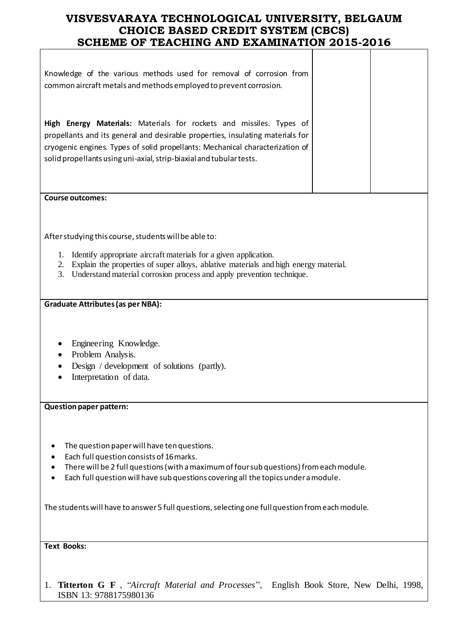| Knowledge of the various methods used for removal of corrosion from<br>common aircraft metals and methods employed to prevent corrosion.                                                                                                                                                                                                                                     |  |  |  |  |
|------------------------------------------------------------------------------------------------------------------------------------------------------------------------------------------------------------------------------------------------------------------------------------------------------------------------------------------------------------------------------|--|--|--|--|
| High Energy Materials: Materials for rockets and missiles. Types of<br>propellants and its general and desirable properties, insulating materials for<br>cryogenic engines. Types of solid propellants: Mechanical characterization of<br>solid propellants using uni-axial, strip-biaxial and tubular tests.                                                                |  |  |  |  |
| <b>Course outcomes:</b>                                                                                                                                                                                                                                                                                                                                                      |  |  |  |  |
| After studying this course, students will be able to:<br>Identify appropriate aircraft materials for a given application.<br>1.<br>Explain the properties of super alloys, ablative materials and high energy material.<br>2.<br>Understand material corrosion process and apply prevention technique.<br>3.                                                                 |  |  |  |  |
| <b>Graduate Attributes (as per NBA):</b>                                                                                                                                                                                                                                                                                                                                     |  |  |  |  |
| Engineering Knowledge.<br>Problem Analysis.<br>Design / development of solutions (partly).<br>Interpretation of data.                                                                                                                                                                                                                                                        |  |  |  |  |
| <b>Question paper pattern:</b>                                                                                                                                                                                                                                                                                                                                               |  |  |  |  |
| The question paper will have ten questions.<br>Each full question consists of 16 marks.<br>There will be 2 full questions (with a maximum of four sub questions) from each module.<br>Each full question will have sub questions covering all the topics under a module.<br>The students will have to answer 5 full questions, selecting one full question from each module. |  |  |  |  |
|                                                                                                                                                                                                                                                                                                                                                                              |  |  |  |  |

**Text Books:**

1. **Titterton G F** , "*Aircraft Material and Processes*", English Book Store, New Delhi, 1998, ISBN 13: 9788175980136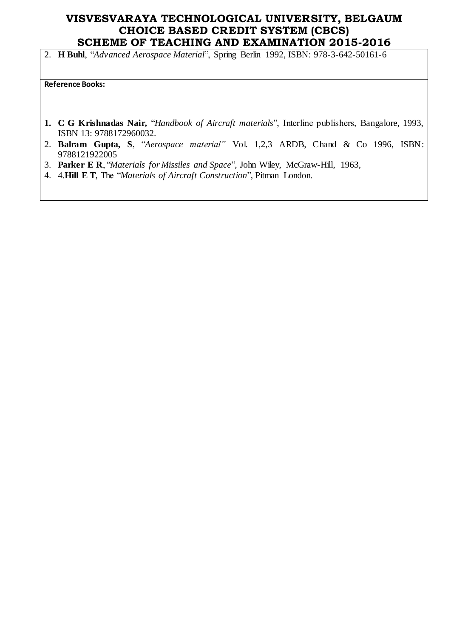2. **H Buhl**, "*Advanced Aerospace Material*", Spring Berlin 1992, ISBN: 978-3-642-50161-6

**Reference Books:** 

- **1. C G Krishnadas Nair,** "*Handbook of Aircraft materials*", Interline publishers, Bangalore, 1993, ISBN 13: 9788172960032.
- 2. **Balram Gupta, S**, "*Aerospace material"* Vol. 1,2,3 ARDB, Chand & Co 1996, ISBN: 9788121922005
- 3. **Parker E R**, "*Materials for Missiles and Space*", John Wiley, McGraw-Hill, 1963,
- 4. 4.**Hill E T**, The "*Materials of Aircraft Construction*", Pitman London.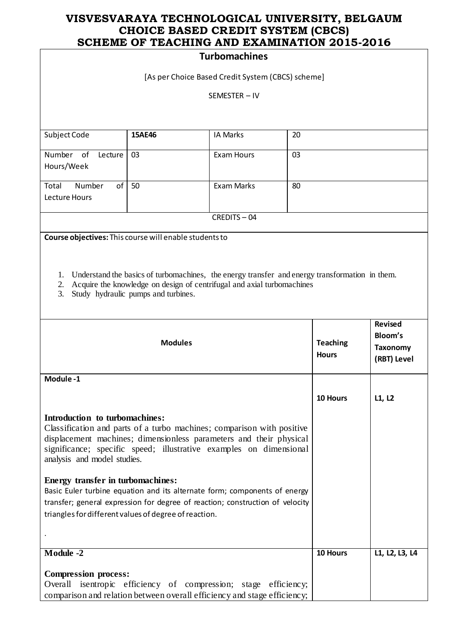### **Turbomachines**

[As per Choice Based Credit System (CBCS) scheme]

SEMESTER – IV

| Subject Code          | <b>15AE46</b> | IA Marks   | 20 |
|-----------------------|---------------|------------|----|
|                       |               |            |    |
| Number of<br>Lecture  | 03            | Exam Hours | 03 |
| Hours/Week            |               |            |    |
|                       |               |            |    |
| Total<br>Number<br>of | 50            | Exam Marks | 80 |
| Lecture Hours         |               |            |    |
|                       |               |            |    |
|                       |               | CREDITS-04 |    |

**Course objectives:** This course will enable students to

- 1. Understand the basics of turbomachines, the energy transfer and energy transformation in them.
- 2. Acquire the knowledge on design of centrifugal and axial turbomachines
- 3. Study hydraulic pumps and turbines.

| <b>Modules</b>                                                                                                                                                                                                                                                                                                                                                                                                                                                                                                                                  | <b>Teaching</b><br><b>Hours</b> | <b>Revised</b><br>Bloom's<br>Taxonomy<br>(RBT) Level |
|-------------------------------------------------------------------------------------------------------------------------------------------------------------------------------------------------------------------------------------------------------------------------------------------------------------------------------------------------------------------------------------------------------------------------------------------------------------------------------------------------------------------------------------------------|---------------------------------|------------------------------------------------------|
| Module-1                                                                                                                                                                                                                                                                                                                                                                                                                                                                                                                                        |                                 |                                                      |
|                                                                                                                                                                                                                                                                                                                                                                                                                                                                                                                                                 | 10 Hours                        | L1, L2                                               |
| Introduction to turbomachines:<br>Classification and parts of a turbo machines; comparison with positive<br>displacement machines; dimensionless parameters and their physical<br>significance; specific speed; illustrative examples on dimensional<br>analysis and model studies.<br>Energy transfer in turbomachines:<br>Basic Euler turbine equation and its alternate form; components of energy<br>transfer; general expression for degree of reaction; construction of velocity<br>triangles for different values of degree of reaction. |                                 |                                                      |
| Module -2                                                                                                                                                                                                                                                                                                                                                                                                                                                                                                                                       | 10 Hours                        | L1, L2, L3, L4                                       |
| <b>Compression process:</b><br>Overall isentropic efficiency of compression; stage efficiency;<br>comparison and relation between overall efficiency and stage efficiency;                                                                                                                                                                                                                                                                                                                                                                      |                                 |                                                      |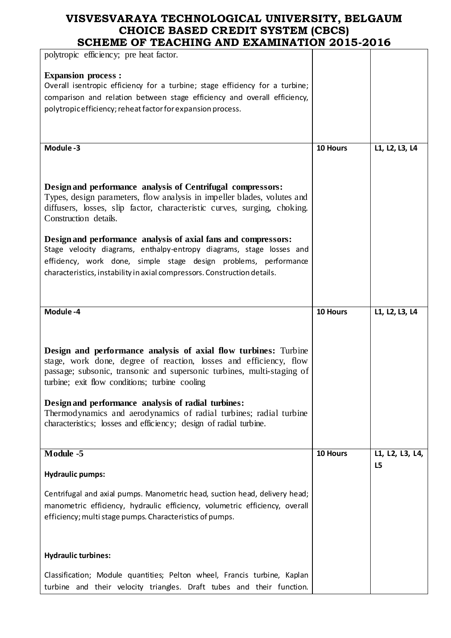| polytropic efficiency; pre heat factor.                                                                                                                                                                                                                                                                                                                                                                                                                            |          |                 |
|--------------------------------------------------------------------------------------------------------------------------------------------------------------------------------------------------------------------------------------------------------------------------------------------------------------------------------------------------------------------------------------------------------------------------------------------------------------------|----------|-----------------|
| <b>Expansion process:</b><br>Overall isentropic efficiency for a turbine; stage efficiency for a turbine;<br>comparison and relation between stage efficiency and overall efficiency,<br>polytropic efficiency; reheat factor for expansion process.                                                                                                                                                                                                               |          |                 |
|                                                                                                                                                                                                                                                                                                                                                                                                                                                                    |          |                 |
| Module-3                                                                                                                                                                                                                                                                                                                                                                                                                                                           | 10 Hours | L1, L2, L3, L4  |
| Design and performance analysis of Centrifugal compressors:<br>Types, design parameters, flow analysis in impeller blades, volutes and<br>diffusers, losses, slip factor, characteristic curves, surging, choking.                                                                                                                                                                                                                                                 |          |                 |
| Construction details.                                                                                                                                                                                                                                                                                                                                                                                                                                              |          |                 |
| Design and performance analysis of axial fans and compressors:<br>Stage velocity diagrams, enthalpy-entropy diagrams, stage losses and<br>efficiency, work done, simple stage design problems, performance<br>characteristics, instability in axial compressors. Construction details.                                                                                                                                                                             |          |                 |
|                                                                                                                                                                                                                                                                                                                                                                                                                                                                    |          |                 |
| Module-4                                                                                                                                                                                                                                                                                                                                                                                                                                                           | 10 Hours | L1, L2, L3, L4  |
|                                                                                                                                                                                                                                                                                                                                                                                                                                                                    |          |                 |
| Design and performance analysis of axial flow turbines: Turbine<br>stage, work done, degree of reaction, losses and efficiency, flow<br>passage; subsonic, transonic and supersonic turbines, multi-staging of<br>turbine; exit flow conditions; turbine cooling<br>Design and performance analysis of radial turbines:<br>Thermodynamics and aerodynamics of radial turbines; radial turbine<br>characteristics; losses and efficiency; design of radial turbine. |          |                 |
| Module -5                                                                                                                                                                                                                                                                                                                                                                                                                                                          | 10 Hours | L1, L2, L3, L4, |
| <b>Hydraulic pumps:</b><br>Centrifugal and axial pumps. Manometric head, suction head, delivery head;                                                                                                                                                                                                                                                                                                                                                              |          | L5              |
| manometric efficiency, hydraulic efficiency, volumetric efficiency, overall<br>efficiency; multi stage pumps. Characteristics of pumps.                                                                                                                                                                                                                                                                                                                            |          |                 |
| <b>Hydraulic turbines:</b>                                                                                                                                                                                                                                                                                                                                                                                                                                         |          |                 |
|                                                                                                                                                                                                                                                                                                                                                                                                                                                                    |          |                 |
| Classification; Module quantities; Pelton wheel, Francis turbine, Kaplan<br>turbine and their velocity triangles. Draft tubes and their function.                                                                                                                                                                                                                                                                                                                  |          |                 |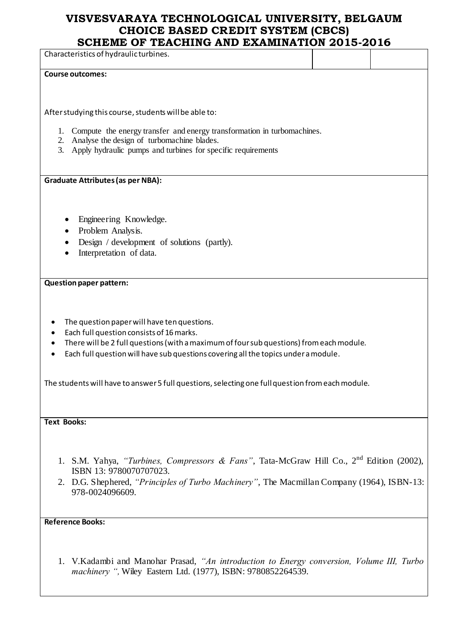Characteristics of hydraulic turbines. **Course outcomes:** After studying this course, students will be able to: 1. Compute the energy transfer and energy transformation in turbomachines. 2. Analyse the design of turbomachine blades. 3. Apply hydraulic pumps and turbines for specific requirements **Graduate Attributes (as per NBA):**  Engineering Knowledge. • Problem Analysis. • Design / development of solutions (partly). • Interpretation of data. **Question paper pattern:** • The question paper will have ten questions. Each full question consists of 16 marks. There will be 2 full questions (with a maximum of four sub questions) from each module. Each full question will have sub questions covering all the topics under a module. The students will have to answer 5 full questions, selecting one full question from each module. **Text Books:** 1. S.M. Yahya, *"Turbines, Compressors & Fans"*, Tata-McGraw Hill Co., 2nd Edition (2002), ISBN 13: 9780070707023. 2. D.G. Shephered, *"Principles of Turbo Machinery"*, The Macmillan Company (1964), ISBN-13: 978-0024096609. **Reference Books:** 

1. V.Kadambi and Manohar Prasad, *"An introduction to Energy conversion, Volume III, Turbo machinery ",* Wiley Eastern Ltd. (1977), ISBN: 9780852264539.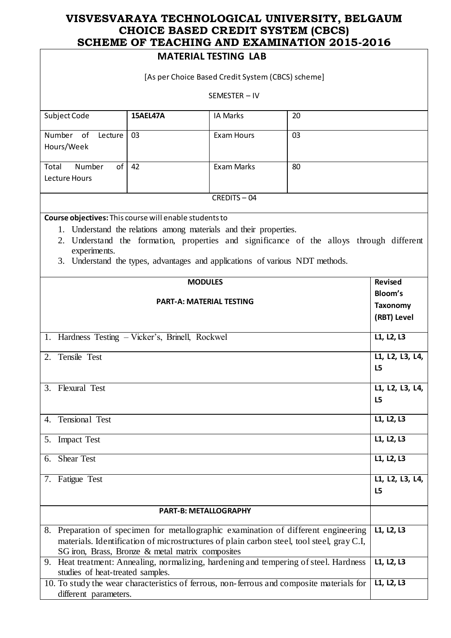### **MATERIAL TESTING LAB**

|                                                                              |                                                                                                                                                   | IVIAIEKIAL IESIIINU LAB |                                                                                                                                                                                 |                       |
|------------------------------------------------------------------------------|---------------------------------------------------------------------------------------------------------------------------------------------------|-------------------------|---------------------------------------------------------------------------------------------------------------------------------------------------------------------------------|-----------------------|
| [As per Choice Based Credit System (CBCS) scheme]                            |                                                                                                                                                   |                         |                                                                                                                                                                                 |                       |
|                                                                              |                                                                                                                                                   | SEMESTER-IV             |                                                                                                                                                                                 |                       |
| Subject Code                                                                 | 15AEL47A                                                                                                                                          | IA Marks                | 20                                                                                                                                                                              |                       |
| Number of<br>Lecture<br>Hours/Week                                           | 03                                                                                                                                                | <b>Exam Hours</b>       | 03                                                                                                                                                                              |                       |
| Number<br>of <sub>l</sub><br>Total<br>Lecture Hours                          | 42                                                                                                                                                | <b>Exam Marks</b>       | 80                                                                                                                                                                              |                       |
|                                                                              |                                                                                                                                                   | CREDITS-04              |                                                                                                                                                                                 |                       |
| Course objectives: This course will enable students to<br>2.<br>experiments. | 1. Understand the relations among materials and their properties.<br>3. Understand the types, advantages and applications of various NDT methods. |                         | Understand the formation, properties and significance of the alloys through different                                                                                           |                       |
|                                                                              |                                                                                                                                                   | <b>MODULES</b>          |                                                                                                                                                                                 | <b>Revised</b>        |
| <b>PART-A: MATERIAL TESTING</b>                                              |                                                                                                                                                   |                         | Bloom's<br><b>Taxonomy</b><br>(RBT) Level                                                                                                                                       |                       |
| 1. Hardness Testing - Vicker's, Brinell, Rockwel                             |                                                                                                                                                   |                         |                                                                                                                                                                                 | L1, L2, L3            |
| 2. Tensile Test                                                              |                                                                                                                                                   |                         |                                                                                                                                                                                 | L1, L2, L3, L4,<br>L5 |
| 3. Flexural Test                                                             |                                                                                                                                                   |                         |                                                                                                                                                                                 | L1, L2, L3, L4,<br>L5 |
| Tensional Test<br>4.                                                         |                                                                                                                                                   |                         |                                                                                                                                                                                 | L1, L2, L3            |
| <b>Impact Test</b><br>5.                                                     |                                                                                                                                                   |                         |                                                                                                                                                                                 | L1, L2, L3            |
| <b>Shear Test</b><br>6.                                                      |                                                                                                                                                   |                         |                                                                                                                                                                                 | L1, L2, L3            |
| 7. Fatigue Test                                                              |                                                                                                                                                   |                         |                                                                                                                                                                                 | L1, L2, L3, L4,<br>L5 |
| <b>PART-B: METALLOGRAPHY</b>                                                 |                                                                                                                                                   |                         |                                                                                                                                                                                 |                       |
|                                                                              | SG iron, Brass, Bronze & metal matrix composites                                                                                                  |                         | 8. Preparation of specimen for metallographic examination of different engineering<br>materials. Identification of microstructures of plain carbon steel, tool steel, gray C.I, | L1, L2, L3            |
| studies of heat-treated samples.                                             |                                                                                                                                                   |                         | 9. Heat treatment: Annealing, normalizing, hardening and tempering of steel. Hardness                                                                                           | L1, L2, L3            |
| different parameters.                                                        |                                                                                                                                                   |                         | 10. To study the wear characteristics of ferrous, non-ferrous and composite materials for                                                                                       | L1, L2, L3            |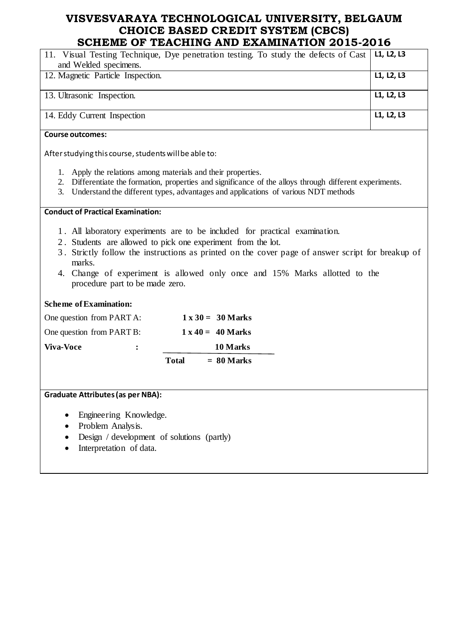| 11. Visual Testing Technique, Dye penetration testing. To study the defects of Cast<br>and Welded specimens.                                                                                                                                                                                                                                                               | L1, L2, L3 |
|----------------------------------------------------------------------------------------------------------------------------------------------------------------------------------------------------------------------------------------------------------------------------------------------------------------------------------------------------------------------------|------------|
| 12. Magnetic Particle Inspection.                                                                                                                                                                                                                                                                                                                                          | L1, L2, L3 |
| 13. Ultrasonic Inspection.                                                                                                                                                                                                                                                                                                                                                 | L1, L2, L3 |
| 14. Eddy Current Inspection                                                                                                                                                                                                                                                                                                                                                | L1, L2, L3 |
| <b>Course outcomes:</b>                                                                                                                                                                                                                                                                                                                                                    |            |
| After studying this course, students will be able to:                                                                                                                                                                                                                                                                                                                      |            |
| 1. Apply the relations among materials and their properties.<br>Differentiate the formation, properties and significance of the alloys through different experiments.<br>2.<br>Understand the different types, advantages and applications of various NDT methods<br>3.                                                                                                    |            |
| <b>Conduct of Practical Examination:</b>                                                                                                                                                                                                                                                                                                                                   |            |
| 1. All laboratory experiments are to be included for practical examination.<br>2. Students are allowed to pick one experiment from the lot.<br>3. Strictly follow the instructions as printed on the cover page of answer script for breakup of<br>marks.<br>4. Change of experiment is allowed only once and 15% Marks allotted to the<br>procedure part to be made zero. |            |
| <b>Scheme of Examination:</b>                                                                                                                                                                                                                                                                                                                                              |            |
| One question from PART A:<br>$1 \times 30 = 30$ Marks                                                                                                                                                                                                                                                                                                                      |            |
| One question from PART B:<br>$1 \times 40 = 40$ Marks                                                                                                                                                                                                                                                                                                                      |            |
| <b>Viva-Voce</b><br>10 Marks<br>$\ddot{\cdot}$                                                                                                                                                                                                                                                                                                                             |            |
| $= 80$ Marks<br><b>Total</b>                                                                                                                                                                                                                                                                                                                                               |            |
|                                                                                                                                                                                                                                                                                                                                                                            |            |
| <b>Graduate Attributes (as per NBA):</b>                                                                                                                                                                                                                                                                                                                                   |            |
| Engineering Knowledge.<br>Problem Analysis                                                                                                                                                                                                                                                                                                                                 |            |

- Problem Analysis.
- Design / development of solutions (partly)
- Interpretation of data.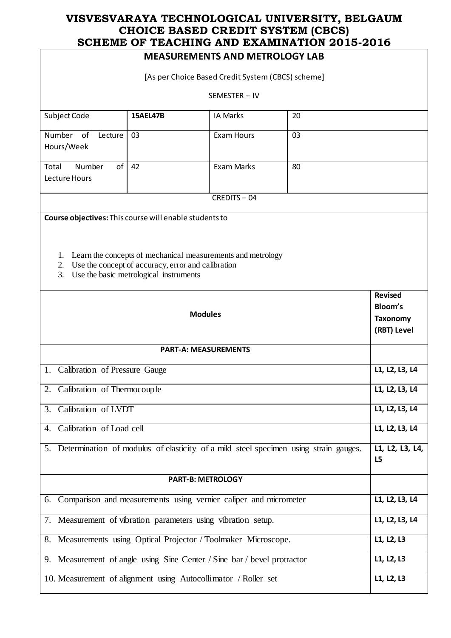| VII <i>dinid</i> VI<br><b>MEASUREMENTS AND METROLOGY LAB</b>                            |                                                                                                                                                                |                   |                       |                                                             |
|-----------------------------------------------------------------------------------------|----------------------------------------------------------------------------------------------------------------------------------------------------------------|-------------------|-----------------------|-------------------------------------------------------------|
| [As per Choice Based Credit System (CBCS) scheme]                                       |                                                                                                                                                                |                   |                       |                                                             |
|                                                                                         |                                                                                                                                                                | SEMESTER-IV       |                       |                                                             |
| Subject Code                                                                            | <b>15AEL47B</b>                                                                                                                                                | <b>IA Marks</b>   | 20                    |                                                             |
| Number<br>of<br>Lecture<br>Hours/Week                                                   | 03                                                                                                                                                             | <b>Exam Hours</b> | 03                    |                                                             |
| of<br>Number<br>Total<br>Lecture Hours                                                  | 42                                                                                                                                                             | Exam Marks        | 80                    |                                                             |
|                                                                                         |                                                                                                                                                                | CREDITS-04        |                       |                                                             |
| Course objectives: This course will enable students to<br>2.<br>3.                      | 1. Learn the concepts of mechanical measurements and metrology<br>Use the concept of accuracy, error and calibration<br>Use the basic metrological instruments |                   |                       |                                                             |
| <b>Modules</b>                                                                          |                                                                                                                                                                |                   |                       | <b>Revised</b><br>Bloom's<br><b>Taxonomy</b><br>(RBT) Level |
| <b>PART-A: MEASUREMENTS</b>                                                             |                                                                                                                                                                |                   |                       |                                                             |
| 1. Calibration of Pressure Gauge                                                        | L1, L2, L3, L4                                                                                                                                                 |                   |                       |                                                             |
| 2. Calibration of Thermocouple                                                          |                                                                                                                                                                |                   |                       | L1, L2, L3, L4                                              |
| 3. Calibration of LVDT                                                                  |                                                                                                                                                                |                   |                       | L1, L2, L3, L4                                              |
| 4. Calibration of Load cell                                                             |                                                                                                                                                                |                   |                       | L1, L2, L3, L4                                              |
| 5. Determination of modulus of elasticity of a mild steel specimen using strain gauges. |                                                                                                                                                                |                   | L1, L2, L3, L4,<br>L5 |                                                             |
|                                                                                         | <b>PART-B: METROLOGY</b>                                                                                                                                       |                   |                       |                                                             |
| 6. Comparison and measurements using vernier caliper and micrometer                     |                                                                                                                                                                |                   | L1, L2, L3, L4        |                                                             |
| 7. Measurement of vibration parameters using vibration setup.                           |                                                                                                                                                                |                   |                       | L1, L2, L3, L4                                              |
| 8. Measurements using Optical Projector / Toolmaker Microscope.                         |                                                                                                                                                                |                   |                       | L1, L2, L3                                                  |
| 9. Measurement of angle using Sine Center / Sine bar / bevel protractor<br>L1, L2, L3   |                                                                                                                                                                |                   |                       |                                                             |
| 10. Measurement of alignment using Autocollimator / Roller set                          |                                                                                                                                                                |                   |                       | L1, L2, L3                                                  |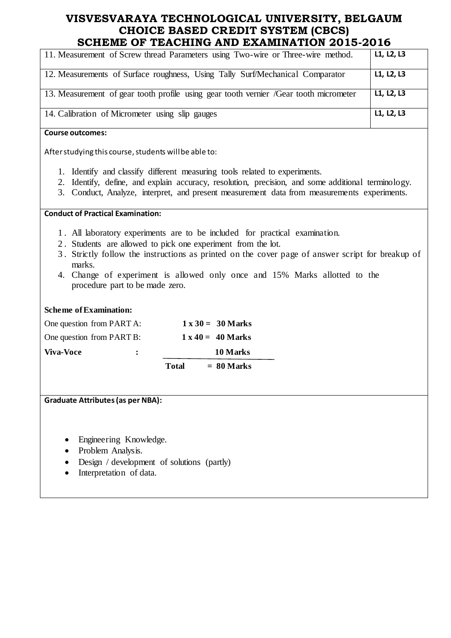| 11. Measurement of Screw thread Parameters using Two-wire or Three-wire method.       | L1, L2, L3 |
|---------------------------------------------------------------------------------------|------------|
| 12. Measurements of Surface roughness, Using Tally Surf/Mechanical Comparator         | L1, L2, L3 |
| 13. Measurement of gear tooth profile using gear tooth vernier /Gear tooth micrometer | L1, L2, L3 |
| 14. Calibration of Micrometer using slip gauges                                       | L1, L2, L3 |

#### **Course outcomes:**

After studying this course, students will be able to:

- 1. Identify and classify different measuring tools related to experiments.
- 2. Identify, define, and explain accuracy, resolution, precision, and some additional terminology.
- 3. Conduct, Analyze, interpret, and present measurement data from measurements experiments.

**Conduct of Practical Examination:**

- 1 . All laboratory experiments are to be included for practical examination.
- 2 . Students are allowed to pick one experiment from the lot.
- 3 . Strictly follow the instructions as printed on the cover page of answer script for breakup of marks.
- 4. Change of experiment is allowed only once and 15% Marks allotted to the procedure part to be made zero.

#### **Scheme of Examination:**

|                           |                      | <b>Total</b> | $= 80$ Marks             |
|---------------------------|----------------------|--------------|--------------------------|
| <b>Viva-Voce</b>          | $\ddot{\phantom{a}}$ |              | 10 Marks                 |
| One question from PART B: |                      |              | $1 \times 40 = 40$ Marks |
| One question from PART A: |                      |              | $1 \times 30 = 30$ Marks |

#### **Graduate Attributes(as per NBA):**

- Engineering Knowledge.
- Problem Analysis.
- Design / development of solutions (partly)
- Interpretation of data.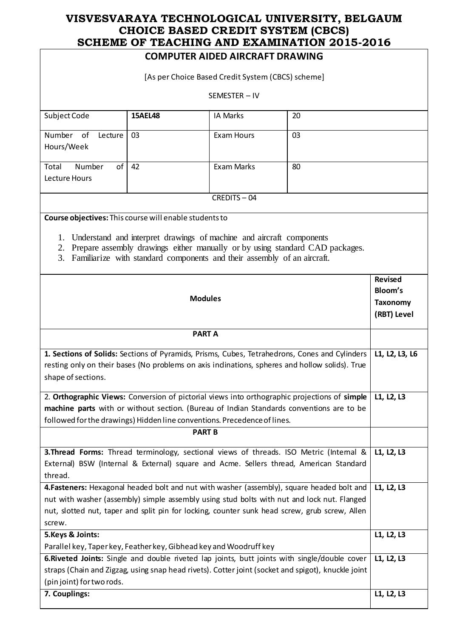# **COMPUTER AIDED AIRCRAFT DRAWING**

|                                                                                                                                                                                                                                  |    | COMPUTER AIDED AIRCRAFT DRAWING                                                                                                                 |                                                                                                           |            |
|----------------------------------------------------------------------------------------------------------------------------------------------------------------------------------------------------------------------------------|----|-------------------------------------------------------------------------------------------------------------------------------------------------|-----------------------------------------------------------------------------------------------------------|------------|
| [As per Choice Based Credit System (CBCS) scheme]                                                                                                                                                                                |    |                                                                                                                                                 |                                                                                                           |            |
|                                                                                                                                                                                                                                  |    | SEMESTER-IV                                                                                                                                     |                                                                                                           |            |
| Subject Code<br><b>15AEL48</b><br><b>IA Marks</b><br>20                                                                                                                                                                          |    |                                                                                                                                                 |                                                                                                           |            |
| Number of<br>Lecture<br>Hours/Week                                                                                                                                                                                               | 03 | <b>Exam Hours</b>                                                                                                                               | 03                                                                                                        |            |
| Number<br>of<br>Total<br>Lecture Hours                                                                                                                                                                                           | 42 | Exam Marks                                                                                                                                      | 80                                                                                                        |            |
|                                                                                                                                                                                                                                  |    | CREDITS-04                                                                                                                                      |                                                                                                           |            |
| Course objectives: This course will enable students to                                                                                                                                                                           |    |                                                                                                                                                 |                                                                                                           |            |
| 1.<br>2.<br>3.                                                                                                                                                                                                                   |    | Understand and interpret drawings of machine and aircraft components<br>Familiarize with standard components and their assembly of an aircraft. | Prepare assembly drawings either manually or by using standard CAD packages.                              |            |
| <b>Modules</b>                                                                                                                                                                                                                   |    |                                                                                                                                                 | <b>Revised</b><br>Bloom's<br><b>Taxonomy</b><br>(RBT) Level                                               |            |
|                                                                                                                                                                                                                                  |    | <b>PART A</b>                                                                                                                                   |                                                                                                           |            |
| 1. Sections of Solids: Sections of Pyramids, Prisms, Cubes, Tetrahedrons, Cones and Cylinders<br>resting only on their bases (No problems on axis indinations, spheres and hollow solids). True<br>shape of sections.            |    |                                                                                                                                                 | L1, L2, L3, L6                                                                                            |            |
|                                                                                                                                                                                                                                  |    |                                                                                                                                                 | 2. Orthographic Views: Conversion of pictorial views into orthographic projections of simple   L1, L2, L3 |            |
|                                                                                                                                                                                                                                  |    |                                                                                                                                                 | machine parts with or without section. (Bureau of Indian Standards conventions are to be                  |            |
| followed for the drawings) Hidden line conventions. Precedence of lines.                                                                                                                                                         |    | <b>PART B</b>                                                                                                                                   |                                                                                                           |            |
| 3. Thread Forms: Thread terminology, sectional views of threads. ISO Metric (Intemal &<br>External) BSW (Internal & External) square and Acme. Sellers thread, American Standard<br>thread.                                      |    |                                                                                                                                                 | L1, L2, L3                                                                                                |            |
| 4. Fasteners: Hexagonal headed bolt and nut with washer (assembly), square headed bolt and                                                                                                                                       |    |                                                                                                                                                 | L1, L2, L3                                                                                                |            |
| nut with washer (assembly) simple assembly using stud bolts with nut and lock nut. Flanged                                                                                                                                       |    |                                                                                                                                                 |                                                                                                           |            |
| nut, slotted nut, taper and split pin for locking, counter sunk head screw, grub screw, Allen<br>screw.                                                                                                                          |    |                                                                                                                                                 |                                                                                                           |            |
| 5. Keys & Joints:                                                                                                                                                                                                                |    |                                                                                                                                                 |                                                                                                           | L1, L2, L3 |
| Parallel key, Taper key, Feather key, Gibhead key and Woodruff key                                                                                                                                                               |    |                                                                                                                                                 |                                                                                                           |            |
| 6. Riveted Joints: Single and double riveted lap joints, butt joints with single/double cover<br>straps (Chain and Zigzag, using snap head rivets). Cotter joint (socket and spigot), knuckle joint<br>(pin joint) for two rods. |    |                                                                                                                                                 | L1, L2, L3                                                                                                |            |
| 7. Couplings:                                                                                                                                                                                                                    |    |                                                                                                                                                 |                                                                                                           | L1, L2, L3 |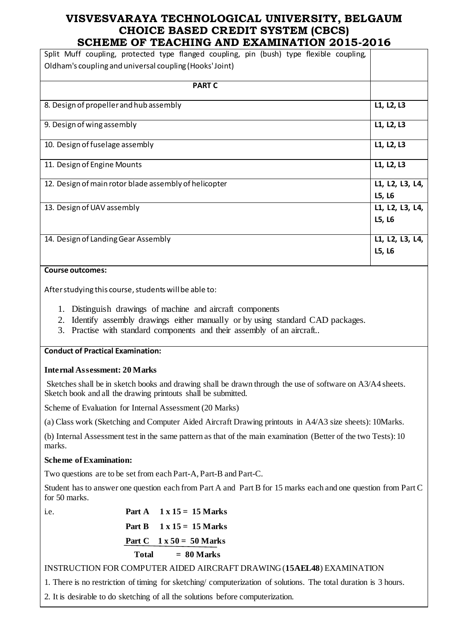| Split Muff coupling, protected type flanged coupling, pin (bush) type flexible coupling, |                 |
|------------------------------------------------------------------------------------------|-----------------|
| Oldham's coupling and universal coupling (Hooks' Joint)                                  |                 |
|                                                                                          |                 |
| <b>PART C</b>                                                                            |                 |
|                                                                                          |                 |
| 8. Design of propeller and hub assembly                                                  | L1, L2, L3      |
| 9. Design of wing assembly                                                               | L1, L2, L3      |
| 10. Design of fuselage assembly                                                          | L1, L2, L3      |
| 11. Design of Engine Mounts                                                              | L1, L2, L3      |
| 12. Design of main rotor blade assembly of helicopter                                    | L1, L2, L3, L4, |
|                                                                                          | L5, L6          |
| 13. Design of UAV assembly                                                               | L1, L2, L3, L4, |
|                                                                                          | L5, L6          |
|                                                                                          |                 |
| 14. Design of Landing Gear Assembly                                                      | L1, L2, L3, L4, |
|                                                                                          | L5, L6          |
|                                                                                          |                 |

#### **Course outcomes:**

After studying this course, students will be able to:

- 1. Distinguish drawings of machine and aircraft components
- 2. Identify assembly drawings either manually or by using standard CAD packages.
- 3. Practise with standard components and their assembly of an aircraft..

#### **Conduct of Practical Examination:**

#### **Internal Assessment: 20 Marks**

Sketches shall be in sketch books and drawing shall be drawn through the use of software on A3/A4 sheets. Sketch book and all the drawing printouts shall be submitted.

Scheme of Evaluation for Internal Assessment (20 Marks)

(a) Class work (Sketching and Computer Aided Aircraft Drawing printouts in A4/A3 size sheets): 10Marks.

(b) Internal Assessment test in the same pattern as that of the main examination (Better of the two Tests): 10 marks.

#### **Scheme of Examination:**

Two questions are to be set from each Part-A, Part-B and Part-C.

Student has to answer one question each from Part A and Part B for 15 marks each and one question from Part C for 50 marks.

| i.e. |       | Part A $1 \times 15 = 15$ Marks |
|------|-------|---------------------------------|
|      |       | Part B $1 \times 15 = 15$ Marks |
|      |       | Part C $1 \times 50 = 50$ Marks |
|      | Total | $= 80$ Marks                    |

### INSTRUCTION FOR COMPUTER AIDED AIRCRAFT DRAWING (**15AEL48**) EXAMINATION

1. There is no restriction of timing for sketching/ computerization of solutions. The total duration is 3 hours.

2. It is desirable to do sketching of all the solutions before computerization.